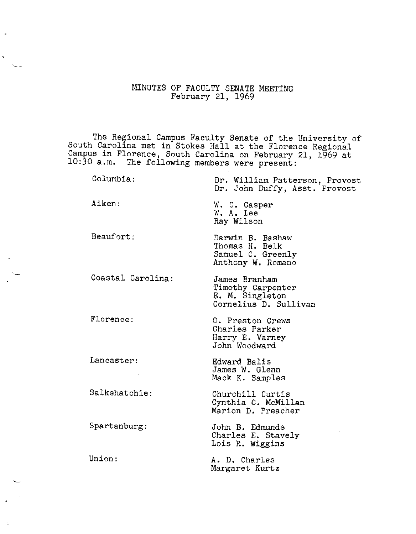## MINUTES OF FACULTY SENATE MEETING February 21, 1969

The Regional Campus Faculty Senate of the University of South Carolina met in Stokes Hall at the Florence Regional Campus in Florence, South Carolina on February 21, 1969 at 10:30 a.m. The following members were present:

| Columbia:         | Dr. William Patterson, Provost<br>Dr. John Duffy, Asst. Provost                |
|-------------------|--------------------------------------------------------------------------------|
| Aiken:            | W. C. Casper<br>W. A. Lee<br>Ray Wilson                                        |
| Beaufort:         | Darwin B. Bashaw<br>Thomas H. Belk<br>Samuel C. Greenly<br>Anthony W. Romano   |
| Coastal Carolina: | James Branham<br>Timothy Carpenter<br>E. M. Singleton<br>Cornelius D. Sullivan |
| Florence:         | 0. Preston Crews<br>Charles Parker<br>Harry E. Varney<br>John Woodward         |
| Lancaster:        | Edward Balis<br>James W. Glenn<br>Mack K. Samples                              |
| Salkehatchie:     | Churchill Curtis<br>Cynthia C. McMillan<br>Marion D. Preacher                  |
| Spartanburg:      | John B. Edmunds<br>Charles E. Stavely<br>Lois R. Wiggins                       |
| Union:            | A. D. Charles<br>Margaret Kurtz                                                |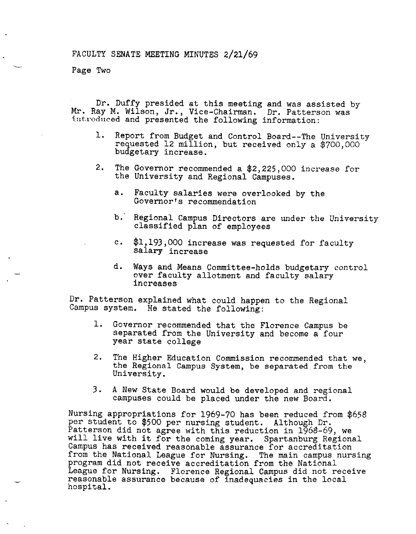Page Two

Dr. Duffy presided at this meeting and was assisted by Mr. Ray M. Wilson, Jr., Vice-Chairman. Dr. Patterson was introduced and presented the following information:

- 1. Report from Budget and Control Board--The University requested 12 million, but received only a \$700,000 budgetary increase.
- 2. The Governor recommended a \$2,225,000 increase for the University and Regional Campuses.
	- a. Faculty salaries were overlooked by the Governor's recommendation
	- b,· Regional Campus Directors are under the University classified plan of employees
	- c, \$1,193,000 increase was requested for faculty salary increase
	- d. Ways and Means Committee-holds budgetary control over faculty allotment and faculty salary increases

Dr. Patterson explained what could happen to the Regional Campus system. He stated the following:

- 1. Governor recommended that the Florence Campus be separated from the University and become a four year state college
- 2. The Higher Education Commission recommended that we, the Regional Campus System, be separated from the University.
- 3. A New State Board would be developed and regional campuses could be placed under the new Board.

Nursing appropriations for 1969-70 has been reduced from *\$65\$*  per student to \$500 per nursing student. Although Dr. Patterson did not agree with this reduction in 1968-69, we will live with it for the coming year. Spartanburg Regional Campus has received reasonable assurance for accreditation from the National League for Nursing. The main campus nursing program did not receive accreditation from the National League for Nursing. Florence Regional Campus did not receive reasonable assurance because of inadequacies in the local hospital.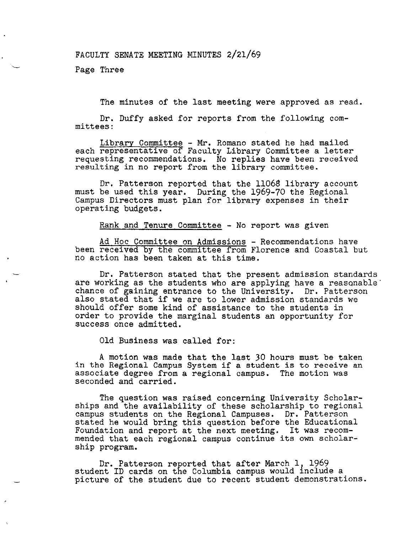FACULTY SENATE MEETING MINUTES 2/21/69

Page Three

The minutes of the last meeting were approved as read.

Dr. Duffy asked for reports from the following committees:

Library Committee - Mr. Romano stated he had mailed each representative of Faculty Library Committee a letter requesting recommendations. No replies have been received resulting in no report from the library committee.

Dr. Patterson reported that the 11068 library account must be used this year. During the 1969-70 the Regional Campus Directors must plan for library expenses in their operating budgets.

Rank and Tenure Committee - No report was given

Ad Hoc Committee on Admissions - Recommendations have been received by the committee from Florence and Coastal but no action has been taken at this time.

Dr, Patterson stated that the present admission standards are working as the students who are applying have a reasonable<sup>-</sup> chance of gaining entrance to the University. Dr. Patterson also stated that if we are to lower admission standards we should offer some kind of assistance to the students in order to provide the marginal students an opportunity for success once admitted.

Old Business was called for:

A motion was made that the last 30 hours must be taken in the Regional Campus System if a student is to receive an associate degree from a regional campus. The motion was seconded and carried.

The question was raised concerning University Scholarships and the availability of these scholarship to regional campus students on the Regional Campuses. Dr. Patterson stated he would bring this question before the Educational stated he would bring this question before the Educational Foundation and report at the next meeting. It was recommended that each regional campus continue its own scholarship program.

Dr. Patterson reported that after March 1, 1969 student ID cards on the Columbia campus would include a picture of the student due to recent student demonstrations.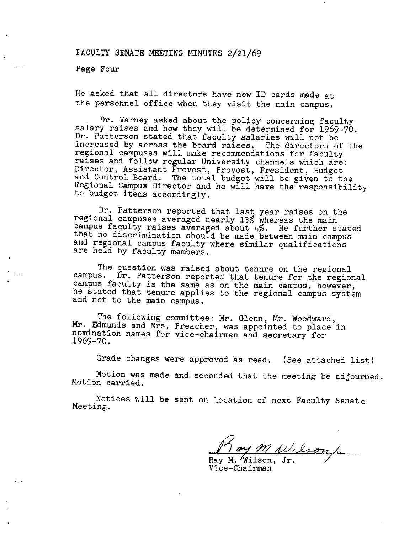FACULTY SENATE MEETING MINUTES 2/21/69

Page Four

He asked that all directors have new ID cards made at the personnel office when they visit the main campus.

Dr. Varney asked about the policy concerning faculty salary raises and how they will be determined for 1969-70. Dr. Patterson stated that faculty salaries will not be increased by across the board raises. The directors of the regional campuses will make recommendations for faculty raises and follow regular University channels which are: Director, Assistant Provost, Provost, President, Budget and Control Board. The total budget will be given to the Regional Campus Director and he will have the responsibility to budget items accordingly.

Dr. Patterson reported that last year raises on the regional campuses averaged nearly 13% whereas the main campus faculty raises averaged about 4%. He further stated that no discrimination should be made between main campus and regional campus faculty where similar qualifications and regional campus faculty where similar qualifications are held by faculty members.

The question was raised about tenure on the regional campus. Dr. Patterson reported that tenure for the regional campus faculty is the same as on the main campus, however, he stated that tenure applies to the regional campus system and not to the main campus.

The following committee: Mr. Glenn, Mr. Woodward, Mr. Edmunds and Mrs. Preacher, was appointed to place in nomination names for vice-chairman and secretary for 1969-70.

Grade changes were approved as read. (See attached list)

Motion was made and seconded that the meeting be adjourned. Motion carried.

Notices will be sent on location of next Faculty Senate Meeting.

Ray M Wilson L

Vice-Chairman